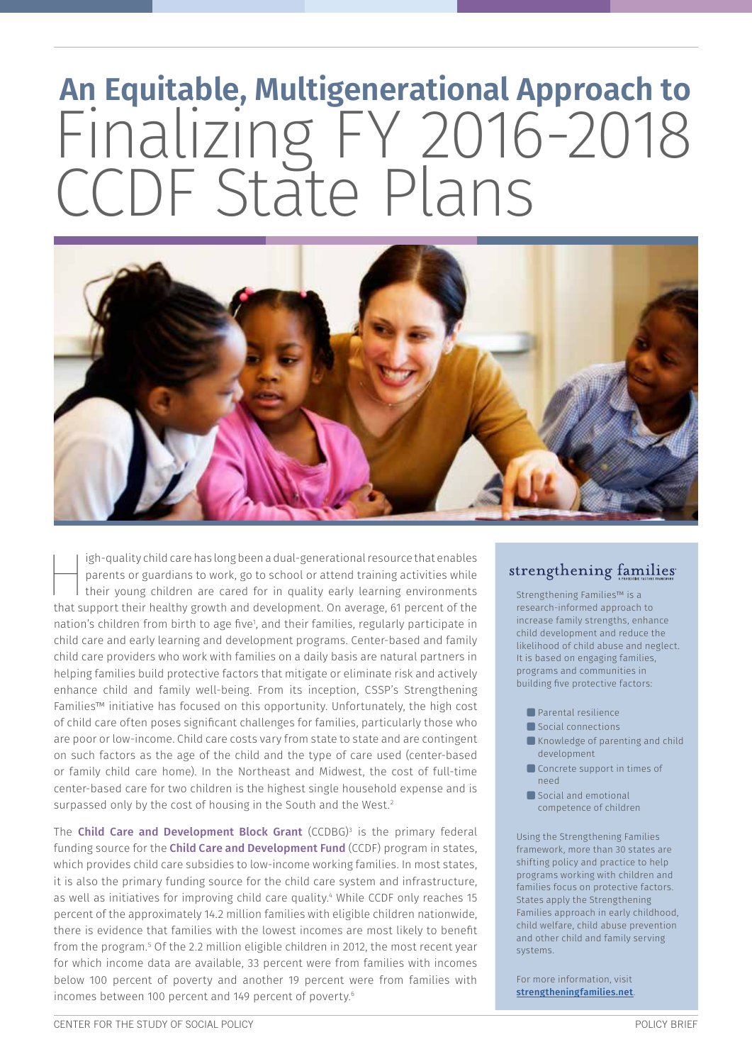# **An Equitable, Multigenerational Approach to** Finalizing FY 2016-2018 CCDF State Plans



igh-quality child care has long been a dual-generational resource that enables parents or guardians to work, go to school or attend training activities while their young children are cared for in quality early learning environments that support their healthy growth and development. On average, 61 percent of the nation's children from birth to age five<sup>1</sup>, and their families, regularly participate in child care and early learning and development programs. Center-based and family child care providers who work with families on a daily basis are natural partners in helping families build protective factors that mitigate or eliminate risk and actively enhance child and family well-being. From its inception, CSSP's Strengthening Families™ initiative has focused on this opportunity. Unfortunately, the high cost of child care often poses significant challenges for families, particularly those who are poor or low-income. Child care costs vary from state to state and are contingent on such factors as the age of the child and the type of care used (center-based or family child care home). In the Northeast and Midwest, the cost of full-time center-based care for two children is the highest single household expense and is surpassed only by the cost of housing in the South and the West.<sup>2</sup>

The **Child Care and Development Block Grant** (CCDBG)<sup>3</sup> is the primary federal funding source for the Child Care and Development Fund (CCDF) program in states, which provides child care subsidies to low-income working families. In most states, it is also the primary funding source for the child care system and infrastructure, as well as initiatives for improving child care quality.4 While CCDF only reaches 15 percent of the approximately 14.2 million families with eligible children nationwide, there is evidence that families with the lowest incomes are most likely to benefit from the program.5 Of the 2.2 million eligible children in 2012, the most recent year for which income data are available, 33 percent were from families with incomes below 100 percent of poverty and another 19 percent were from families with incomes between 100 percent and 149 percent of poverty.6

### strengthening families

Strengthening Families™ is a research-informed approach to increase family strengths, enhance child development and reduce the likelihood of child abuse and neglect. It is based on engaging families, programs and communities in building five protective factors:

- **Parental resilience**
- Social connections
- Knowledge of parenting and child development
- Concrete support in times of need
- Social and emotional competence of children

Using the Strengthening Families framework, more than 30 states are shifting policy and practice to help programs working with children and families focus on protective factors. States apply the Strengthening Families approach in early childhood, child welfare, child abuse prevention and other child and family serving systems.

For more information, visit [strengtheningfamilies.net](http://strengtheningfamilies.net).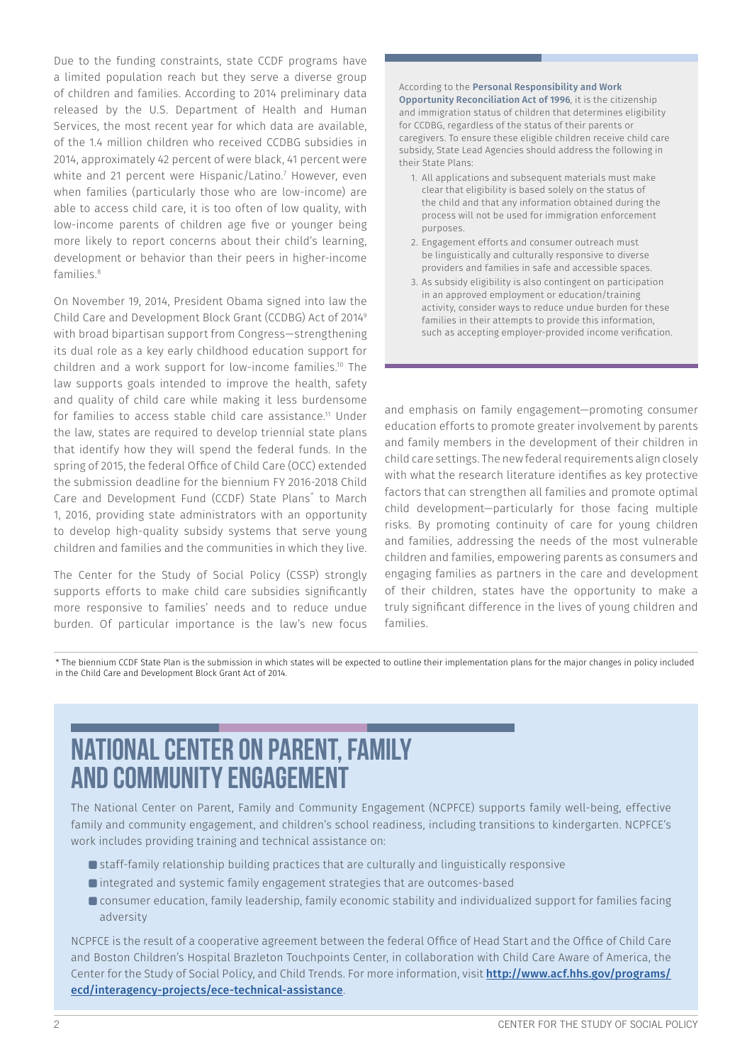Due to the funding constraints, state CCDF programs have a limited population reach but they serve a diverse group of children and families. According to 2014 preliminary data released by the U.S. Department of Health and Human Services, the most recent year for which data are available, of the 1.4 million children who received CCDBG subsidies in 2014, approximately 42 percent of were black, 41 percent were white and 21 percent were Hispanic/Latino.7 However, even when families (particularly those who are low-income) are able to access child care, it is too often of low quality, with low-income parents of children age five or younger being more likely to report concerns about their child's learning, development or behavior than their peers in higher-income families.8

On November 19, 2014, President Obama signed into law the Child Care and Development Block Grant (CCDBG) Act of 20149 with broad bipartisan support from Congress—strengthening its dual role as a key early childhood education support for children and a work support for low-income families.10 The law supports goals intended to improve the health, safety and quality of child care while making it less burdensome for families to access stable child care assistance.<sup>11</sup> Under the law, states are required to develop triennial state plans that identify how they will spend the federal funds. In the spring of 2015, the federal Office of Child Care (OCC) extended the submission deadline for the biennium FY 2016-2018 Child Care and Development Fund (CCDF) State Plans<sup>\*</sup> to March 1, 2016, providing state administrators with an opportunity to develop high-quality subsidy systems that serve young children and families and the communities in which they live.

The Center for the Study of Social Policy (CSSP) strongly supports efforts to make child care subsidies significantly more responsive to families' needs and to reduce undue burden. Of particular importance is the law's new focus

#### According to the Personal Responsibility and Work Opportunity Reconciliation Act of 1996, it is the citizenship and immigration status of children that determines eligibility for CCDBG, regardless of the status of their parents or caregivers. To ensure these eligible children receive child care subsidy, State Lead Agencies should address the following in their State Plans:

- 1. All applications and subsequent materials must make clear that eligibility is based solely on the status of the child and that any information obtained during the process will not be used for immigration enforcement purposes.
- 2. Engagement efforts and consumer outreach must be linguistically and culturally responsive to diverse providers and families in safe and accessible spaces.
- 3. As subsidy eligibility is also contingent on participation in an approved employment or education/training activity, consider ways to reduce undue burden for these families in their attempts to provide this information, such as accepting employer-provided income verification.

and emphasis on family engagement—promoting consumer education efforts to promote greater involvement by parents and family members in the development of their children in child care settings. The new federal requirements align closely with what the research literature identifies as key protective factors that can strengthen all families and promote optimal child development—particularly for those facing multiple risks. By promoting continuity of care for young children and families, addressing the needs of the most vulnerable children and families, empowering parents as consumers and engaging families as partners in the care and development of their children, states have the opportunity to make a truly significant difference in the lives of young children and families.

\* The biennium CCDF State Plan is the submission in which states will be expected to outline their implementation plans for the major changes in policy included in the Child Care and Development Block Grant Act of 2014.

### **National Center on Parent, Family and Community Engagement**

The National Center on Parent, Family and Community Engagement (NCPFCE) supports family well-being, effective family and community engagement, and children's school readiness, including transitions to kindergarten. NCPFCE's work includes providing training and technical assistance on:

- **Staff-family relationship building practices that are culturally and linguistically responsive**
- integrated and systemic family engagement strategies that are outcomes-based
- consumer education, family leadership, family economic stability and individualized support for families facing adversity

NCPFCE is the result of a cooperative agreement between the federal Office of Head Start and the Office of Child Care and Boston Children's Hospital Brazleton Touchpoints Center, in collaboration with Child Care Aware of America, the Center for the Study of Social Policy, and Child Trends. For more information, visit [http://www.acf.hhs.gov/programs/](http://www.acf.hhs.gov/programs/ecd/interagency-projects/ece-technical-assistance) [ecd/interagency-projects/ece-technical-assistance](http://www.acf.hhs.gov/programs/ecd/interagency-projects/ece-technical-assistance).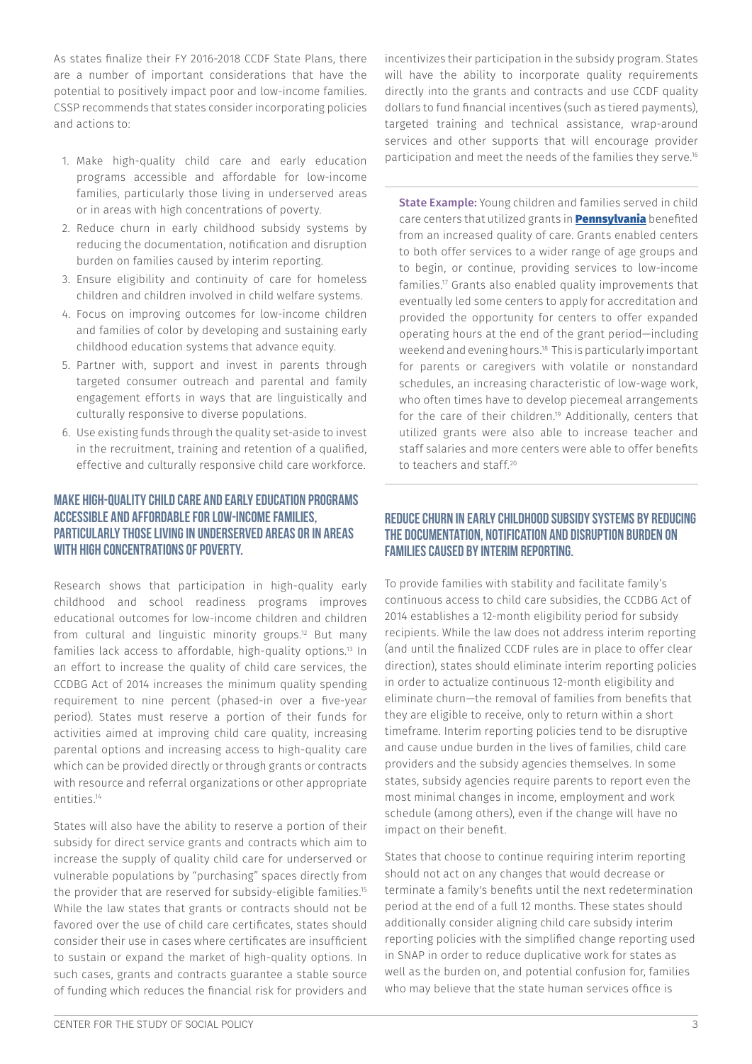As states finalize their FY 2016-2018 CCDF State Plans, there are a number of important considerations that have the potential to positively impact poor and low-income families. CSSP recommends that states consider incorporating policies and actions to:

- 1. Make high-quality child care and early education programs accessible and affordable for low-income families, particularly those living in underserved areas or in areas with high concentrations of poverty.
- 2. Reduce churn in early childhood subsidy systems by reducing the documentation, notification and disruption burden on families caused by interim reporting.
- 3. Ensure eligibility and continuity of care for homeless children and children involved in child welfare systems.
- 4. Focus on improving outcomes for low-income children and families of color by developing and sustaining early childhood education systems that advance equity.
- 5. Partner with, support and invest in parents through targeted consumer outreach and parental and family engagement efforts in ways that are linguistically and culturally responsive to diverse populations.
- 6. Use existing funds through the quality set-aside to invest in the recruitment, training and retention of a qualified, effective and culturally responsive child care workforce.

#### Make high-quality child care and early education programs accessible and affordable for low-income families, particularly those living in underserved areas or in areas with high concentrations of poverty.

Research shows that participation in high-quality early childhood and school readiness programs improves educational outcomes for low-income children and children from cultural and linguistic minority groups.12 But many families lack access to affordable, high-quality options.<sup>13</sup> In an effort to increase the quality of child care services, the CCDBG Act of 2014 increases the minimum quality spending requirement to nine percent (phased-in over a five-year period). States must reserve a portion of their funds for activities aimed at improving child care quality, increasing parental options and increasing access to high-quality care which can be provided directly or through grants or contracts with resource and referral organizations or other appropriate entities.14

States will also have the ability to reserve a portion of their subsidy for direct service grants and contracts which aim to increase the supply of quality child care for underserved or vulnerable populations by "purchasing" spaces directly from the provider that are reserved for subsidy-eligible families.15 While the law states that grants or contracts should not be favored over the use of child care certificates, states should consider their use in cases where certificates are insufficient to sustain or expand the market of high-quality options. In such cases, grants and contracts guarantee a stable source of funding which reduces the financial risk for providers and

incentivizes their participation in the subsidy program. States will have the ability to incorporate quality requirements directly into the grants and contracts and use CCDF quality dollars to fund financial incentives (such as tiered payments), targeted training and technical assistance, wrap-around services and other supports that will encourage provider participation and meet the needs of the families they serve.16

State Example: Young children and families served in child care centers that utilized grants in **[Pennsylvania](http://www.dhs.pa.gov/citizens/childcareearlylearning/childcareworkssubsidizedchildcareprogram/index.htm#.VsTIZfkrKUk)** benefited from an increased quality of care. Grants enabled centers to both offer services to a wider range of age groups and to begin, or continue, providing services to low-income families.17 Grants also enabled quality improvements that eventually led some centers to apply for accreditation and provided the opportunity for centers to offer expanded operating hours at the end of the grant period—including weekend and evening hours.18 This is particularly important for parents or caregivers with volatile or nonstandard schedules, an increasing characteristic of low-wage work, who often times have to develop piecemeal arrangements for the care of their children.<sup>19</sup> Additionally, centers that utilized grants were also able to increase teacher and staff salaries and more centers were able to offer benefits to teachers and staff<sup>20</sup>

#### Reduce churn in early childhood subsidy systems by reducing the documentation, notification and disruption burden on families caused by interim reporting.

To provide families with stability and facilitate family's continuous access to child care subsidies, the CCDBG Act of 2014 establishes a 12-month eligibility period for subsidy recipients. While the law does not address interim reporting (and until the finalized CCDF rules are in place to offer clear direction), states should eliminate interim reporting policies in order to actualize continuous 12-month eligibility and eliminate churn—the removal of families from benefits that they are eligible to receive, only to return within a short timeframe. Interim reporting policies tend to be disruptive and cause undue burden in the lives of families, child care providers and the subsidy agencies themselves. In some states, subsidy agencies require parents to report even the most minimal changes in income, employment and work schedule (among others), even if the change will have no impact on their benefit.

States that choose to continue requiring interim reporting should not act on any changes that would decrease or terminate a family's benefits until the next redetermination period at the end of a full 12 months. These states should additionally consider aligning child care subsidy interim reporting policies with the simplified change reporting used in SNAP in order to reduce duplicative work for states as well as the burden on, and potential confusion for, families who may believe that the state human services office is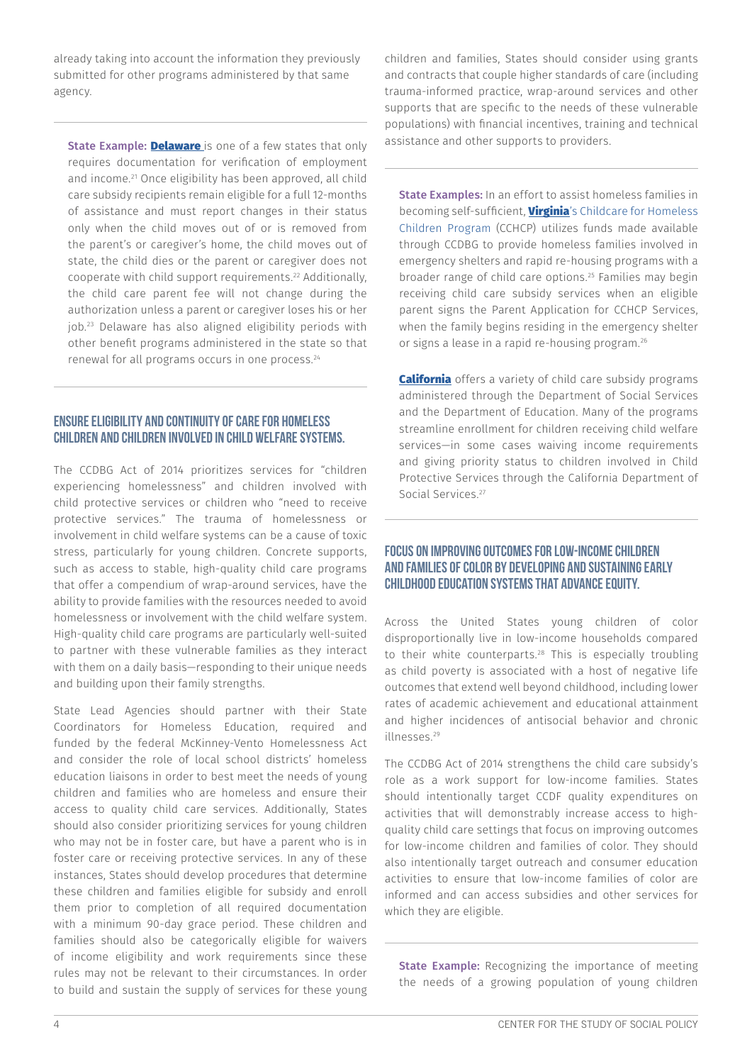already taking into account the information they previously submitted for other programs administered by that same agency.

State Example: **Delaware** is one of a few states that only requires documentation for verification of employment and income.<sup>21</sup> Once eligibility has been approved, all child care subsidy recipients remain eligible for a full 12-months of assistance and must report changes in their status only when the child moves out of or is removed from the parent's or caregiver's home, the child moves out of state, the child dies or the parent or caregiver does not cooperate with child support requirements.22 Additionally, the child care parent fee will not change during the authorization unless a parent or caregiver loses his or her job.23 Delaware has also aligned eligibility periods with other benefit programs administered in the state so that renewal for all programs occurs in one process.<sup>24</sup>

#### Ensure eligibility and continuity of care for homeless children and children involved in child welfare systems.

The CCDBG Act of 2014 prioritizes services for "children experiencing homelessness" and children involved with child protective services or children who "need to receive protective services." The trauma of homelessness or involvement in child welfare systems can be a cause of toxic stress, particularly for young children. Concrete supports, such as access to stable, high-quality child care programs that offer a compendium of wrap-around services, have the ability to provide families with the resources needed to avoid homelessness or involvement with the child welfare system. High-quality child care programs are particularly well-suited to partner with these vulnerable families as they interact with them on a daily basis—responding to their unique needs and building upon their family strengths.

State Lead Agencies should partner with their State Coordinators for Homeless Education, required and funded by the federal McKinney-Vento Homelessness Act and consider the role of local school districts' homeless education liaisons in order to best meet the needs of young children and families who are homeless and ensure their access to quality child care services. Additionally, States should also consider prioritizing services for young children who may not be in foster care, but have a parent who is in foster care or receiving protective services. In any of these instances, States should develop procedures that determine these children and families eligible for subsidy and enroll them prior to completion of all required documentation with a minimum 90-day grace period. These children and families should also be categorically eligible for waivers of income eligibility and work requirements since these rules may not be relevant to their circumstances. In order to build and sustain the supply of services for these young children and families, States should consider using grants and contracts that couple higher standards of care (including trauma-informed practice, wrap-around services and other supports that are specific to the needs of these vulnerable populations) with financial incentives, training and technical assistance and other supports to providers.

State Examples: In an effort to assist homeless families in becoming self-sufficient, *[Virginia](http://www.dhcd.virginia.gov/index.php/housing-programs-and-assistance/88-childcare-for-homeless-children-program-cchcp.html)'s* Childcare for Homeless Children Program (CCHCP) utilizes funds made available through CCDBG to provide homeless families involved in emergency shelters and rapid re-housing programs with a broader range of child care options.25 Families may begin receiving child care subsidy services when an eligible parent signs the Parent Application for CCHCP Services, when the family begins residing in the emergency shelter or signs a lease in a rapid re-housing program.26

**[California](http://www.cde.ca.gov/sp/cd/op/cdprograms.asp)** offers a variety of child care subsidy programs administered through the Department of Social Services and the Department of Education. Many of the programs streamline enrollment for children receiving child welfare services—in some cases waiving income requirements and giving priority status to children involved in Child Protective Services through the California Department of Social Services.<sup>27</sup>

#### Focus on improving outcomes for low-income children and families of color by developing and sustaining early childhood education systems that advance equity.

Across the United States young children of color disproportionally live in low-income households compared to their white counterparts.<sup>28</sup> This is especially troubling as child poverty is associated with a host of negative life outcomes that extend well beyond childhood, including lower rates of academic achievement and educational attainment and higher incidences of antisocial behavior and chronic illnesses.29

The CCDBG Act of 2014 strengthens the child care subsidy's role as a work support for low-income families. States should intentionally target CCDF quality expenditures on activities that will demonstrably increase access to highquality child care settings that focus on improving outcomes for low-income children and families of color. They should also intentionally target outreach and consumer education activities to ensure that low-income families of color are informed and can access subsidies and other services for which they are eligible.

**State Example:** Recognizing the importance of meeting the needs of a growing population of young children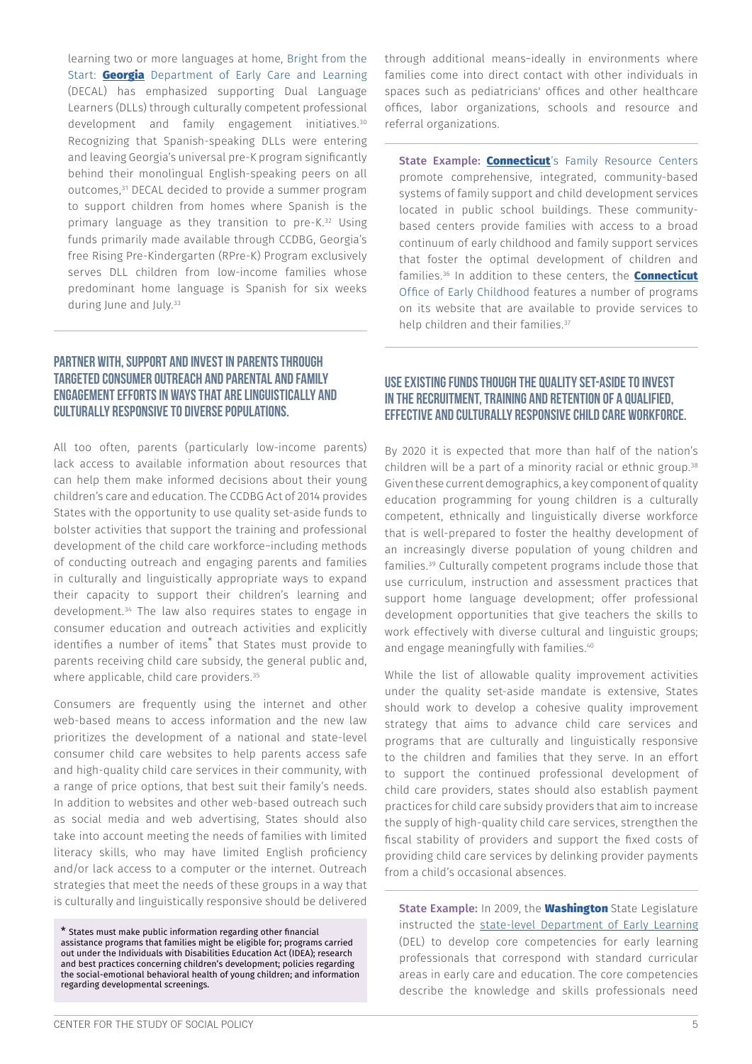learning two or more languages at home, Bright from the Start: **[Georgia](http://decal.ga.gov/BftS/Research.aspx)** Department of Early Care and Learning (DECAL) has emphasized supporting Dual Language Learners (DLLs) through culturally competent professional development and family engagement initiatives.30 Recognizing that Spanish-speaking DLLs were entering and leaving Georgia's universal pre-K program significantly behind their monolingual English-speaking peers on all outcomes,31 DECAL decided to provide a summer program to support children from homes where Spanish is the primary language as they transition to pre-K.32 Using funds primarily made available through CCDBG, Georgia's free Rising Pre-Kindergarten (RPre-K) Program exclusively serves DLL children from low-income families whose predominant home language is Spanish for six weeks during June and July.<sup>33</sup>

#### Partner with, support and invest in parents through targeted consumer outreach and parental and family engagement efforts in ways that are linguistically and culturally responsive to diverse populations.

All too often, parents (particularly low-income parents) lack access to available information about resources that can help them make informed decisions about their young children's care and education. The CCDBG Act of 2014 provides States with the opportunity to use quality set-aside funds to bolster activities that support the training and professional development of the child care workforce−including methods of conducting outreach and engaging parents and families in culturally and linguistically appropriate ways to expand their capacity to support their children's learning and development.34 The law also requires states to engage in consumer education and outreach activities and explicitly identifies a number of items\* that States must provide to parents receiving child care subsidy, the general public and, where applicable, child care providers.<sup>35</sup>

Consumers are frequently using the internet and other web-based means to access information and the new law prioritizes the development of a national and state-level consumer child care websites to help parents access safe and high-quality child care services in their community, with a range of price options, that best suit their family's needs. In addition to websites and other web-based outreach such as social media and web advertising, States should also take into account meeting the needs of families with limited literacy skills, who may have limited English proficiency and/or lack access to a computer or the internet. Outreach strategies that meet the needs of these groups in a way that is culturally and linguistically responsive should be delivered

\* States must make public information regarding other financial assistance programs that families might be eligible for; programs carried out under the Individuals with Disabilities Education Act (IDEA); research and best practices concerning children's development; policies regarding the social-emotional behavioral health of young children; and information regarding developmental screenings.

through additional means−ideally in environments where families come into direct contact with other individuals in spaces such as pediatricians' offices and other healthcare offices, labor organizations, schools and resource and referral organizations.

State Example: [Connecticut](http://www.sde.ct.gov/sde/cwp/view.asp?A=2678&Q=320774)'s Family Resource Centers promote comprehensive, integrated, community-based systems of family support and child development services located in public school buildings. These communitybased centers provide families with access to a broad continuum of early childhood and family support services that foster the optimal development of children and families.<sup>36</sup> In addition to these centers, the **Connecticut** Office of Early Childhood features a number of programs on its website that are available to provide services to help children and their families.<sup>37</sup>

#### Use existing funds though the quality set-aside to invest in the recruitment, training and retention of a qualified, effective and culturally responsive child care workforce.

By 2020 it is expected that more than half of the nation's children will be a part of a minority racial or ethnic group.38 Given these current demographics, a key component of quality education programming for young children is a culturally competent, ethnically and linguistically diverse workforce that is well-prepared to foster the healthy development of an increasingly diverse population of young children and families.39 Culturally competent programs include those that use curriculum, instruction and assessment practices that support home language development; offer professional development opportunities that give teachers the skills to work effectively with diverse cultural and linguistic groups; and engage meaningfully with families.<sup>40</sup>

While the list of allowable quality improvement activities under the quality set-aside mandate is extensive, States should work to develop a cohesive quality improvement strategy that aims to advance child care services and programs that are culturally and linguistically responsive to the children and families that they serve. In an effort to support the continued professional development of child care providers, states should also establish payment practices for child care subsidy providers that aim to increase the supply of high-quality child care services, strengthen the fiscal stability of providers and support the fixed costs of providing child care services by delinking provider payments from a child's occasional absences.

State Example: In 2009, the **Washington** State Legislature instructed the [state-level Department of Early Learning](http://www.del.wa.gov/Professional/core.aspx) (DEL) to develop core competencies for early learning professionals that correspond with standard curricular areas in early care and education. The core competencies describe the knowledge and skills professionals need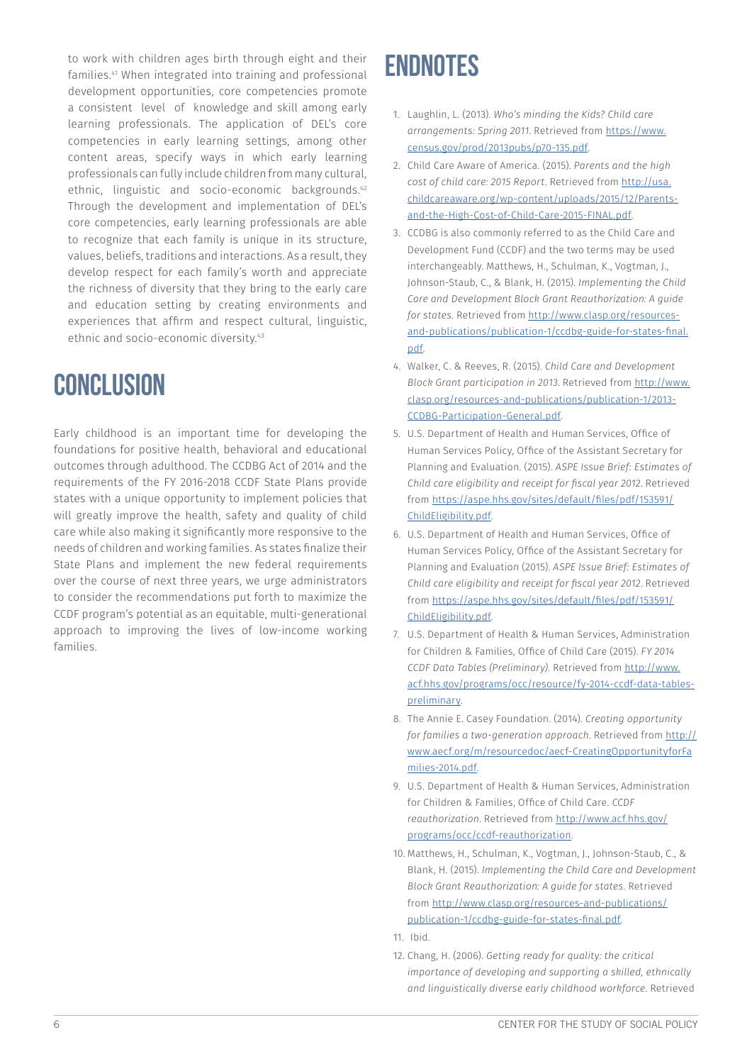to work with children ages birth through eight and their families.41 When integrated into training and professional development opportunities, core competencies promote a consistent level of knowledge and skill among early learning professionals. The application of DEL's core competencies in early learning settings, among other content areas, specify ways in which early learning professionals can fully include children from many cultural, ethnic, linguistic and socio-economic backgrounds.42 Through the development and implementation of DEL's core competencies, early learning professionals are able to recognize that each family is unique in its structure, values, beliefs, traditions and interactions. As a result, they develop respect for each family's worth and appreciate the richness of diversity that they bring to the early care and education setting by creating environments and experiences that affirm and respect cultural, linguistic, ethnic and socio-economic diversity.<sup>43</sup>

### **Conclusion**

Early childhood is an important time for developing the foundations for positive health, behavioral and educational outcomes through adulthood. The CCDBG Act of 2014 and the requirements of the FY 2016-2018 CCDF State Plans provide states with a unique opportunity to implement policies that will greatly improve the health, safety and quality of child care while also making it significantly more responsive to the needs of children and working families. As states finalize their State Plans and implement the new federal requirements over the course of next three years, we urge administrators to consider the recommendations put forth to maximize the CCDF program's potential as an equitable, multi-generational approach to improving the lives of low-income working families.

## **Endnotes**

- 1. Laughlin, L. (2013). *Who's minding the Kids? Child care arrangements: Spring 2011*. Retrieved from [https://www.](https://www.census.gov/prod/2013pubs/p70-135.pdf) [census.gov/prod/2013pubs/p70-135.pdf](https://www.census.gov/prod/2013pubs/p70-135.pdf).
- 2. Child Care Aware of America. (2015). *Parents and the high cost of child care: 2015 Report*. Retrieved from [http://usa.](http://usa.childcareaware.org/wp-content/uploads/2015/12/Parents-and-the-High-Cost-of-Child-Care-201) [childcareaware.org/wp-content/uploads/2015/12/Parents](http://usa.childcareaware.org/wp-content/uploads/2015/12/Parents-and-the-High-Cost-of-Child-Care-201)[and-the-High-Cost-of-Child-Care-2015-FINAL.pdf.](http://usa.childcareaware.org/wp-content/uploads/2015/12/Parents-and-the-High-Cost-of-Child-Care-201)
- 3. CCDBG is also commonly referred to as the Child Care and Development Fund (CCDF) and the two terms may be used interchangeably. Matthews, H., Schulman, K., Vogtman, J., Johnson-Staub, C., & Blank, H. (2015). *Implementing the Child Care and Development Block Grant Reauthorization: A guide for states*. Retrieved from [http://www.clasp.org/resources](http://www.clasp.org/resources-and-publications/publication-1/ccdbg-guide-for-states-final.pdf)[and-publications/publication-1/ccdbg-guide-for-states-final.](http://www.clasp.org/resources-and-publications/publication-1/ccdbg-guide-for-states-final.pdf) [pdf.](http://www.clasp.org/resources-and-publications/publication-1/ccdbg-guide-for-states-final.pdf)
- 4. Walker, C. & Reeves, R. (2015). *Child Care and Development Block Grant participation in 2013*. Retrieved from [http://www.](http://www.clasp.org/resources-and-publications/publication-1/2013-CCDBG-Participation-General.pdf) [clasp.org/resources-and-publications/publication-1/2013-](http://www.clasp.org/resources-and-publications/publication-1/2013-CCDBG-Participation-General.pdf) [CCDBG-Participation-General.pdf.](http://www.clasp.org/resources-and-publications/publication-1/2013-CCDBG-Participation-General.pdf)
- 5. U.S. Department of Health and Human Services, Office of Human Services Policy, Office of the Assistant Secretary for Planning and Evaluation. (2015). *ASPE Issue Brief: Estimates of Child care eligibility and receipt for fiscal year 2012*. Retrieved from [https://aspe.hhs.gov/sites/default/files/pdf/153591/](https://aspe.hhs.gov/sites/default/files/pdf/153591/ChildEligibility.pdf) [ChildEligibility.pdf.](https://aspe.hhs.gov/sites/default/files/pdf/153591/ChildEligibility.pdf)
- 6. U.S. Department of Health and Human Services, Office of Human Services Policy, Office of the Assistant Secretary for Planning and Evaluation (2015). *ASPE Issue Brief: Estimates of Child care eligibility and receipt for fiscal year 2012*. Retrieved from [https://aspe.hhs.gov/sites/default/files/pdf/153591/](https://aspe.hhs.gov/sites/default/files/pdf/153591/ChildEligibility.pdf) [ChildEligibility.pdf.](https://aspe.hhs.gov/sites/default/files/pdf/153591/ChildEligibility.pdf)
- 7. U.S. Department of Health & Human Services, Administration for Children & Families, Office of Child Care (2015). *FY 2014 CCDF Data Tables (Preliminary)*. Retrieved from [http://www.](http://www.acf.hhs.gov/programs/occ/resource/fy-2014-ccdf-data-tables-preliminary) [acf.hhs.gov/programs/occ/resource/fy-2014-ccdf-data-tables](http://www.acf.hhs.gov/programs/occ/resource/fy-2014-ccdf-data-tables-preliminary)[preliminary.](http://www.acf.hhs.gov/programs/occ/resource/fy-2014-ccdf-data-tables-preliminary)
- 8. The Annie E. Casey Foundation. (2014). *Creating opportunity for families a two-generation approach*. Retrieved from [http://](http://www.aecf.org/m/resourcedoc/aecf-CreatingOpportunityforFamilies-2014.pdf) [www.aecf.org/m/resourcedoc/aecf-CreatingOpportunityforFa](http://www.aecf.org/m/resourcedoc/aecf-CreatingOpportunityforFamilies-2014.pdf) [milies-2014.pdf.](http://www.aecf.org/m/resourcedoc/aecf-CreatingOpportunityforFamilies-2014.pdf)
- 9. U.S. Department of Health & Human Services, Administration for Children & Families, Office of Child Care. *CCDF reauthorization*. Retrieved from [http://www.acf.hhs.gov/](http://www.acf.hhs.gov/programs/occ/ccdf-reauthorization) [programs/occ/ccdf-reauthorization](http://www.acf.hhs.gov/programs/occ/ccdf-reauthorization).
- 10. Matthews, H., Schulman, K., Vogtman, J., Johnson-Staub, C., & Blank, H. (2015). *Implementing the Child Care and Development Block Grant Reauthorization: A guide for states*. Retrieved from [http://www.clasp.org/resources-and-publications/](http://www.clasp.org/resources-and-publications/publication-1/ccdbg-guide-for-states-final.pdf) [publication-1/ccdbg-guide-for-states-final.pdf](http://www.clasp.org/resources-and-publications/publication-1/ccdbg-guide-for-states-final.pdf).
- 11. Ibid.
- 12. Chang, H. (2006). *Getting ready for quality: the critical importance of developing and supporting a skilled, ethnically and linguistically diverse early childhood workforce*. Retrieved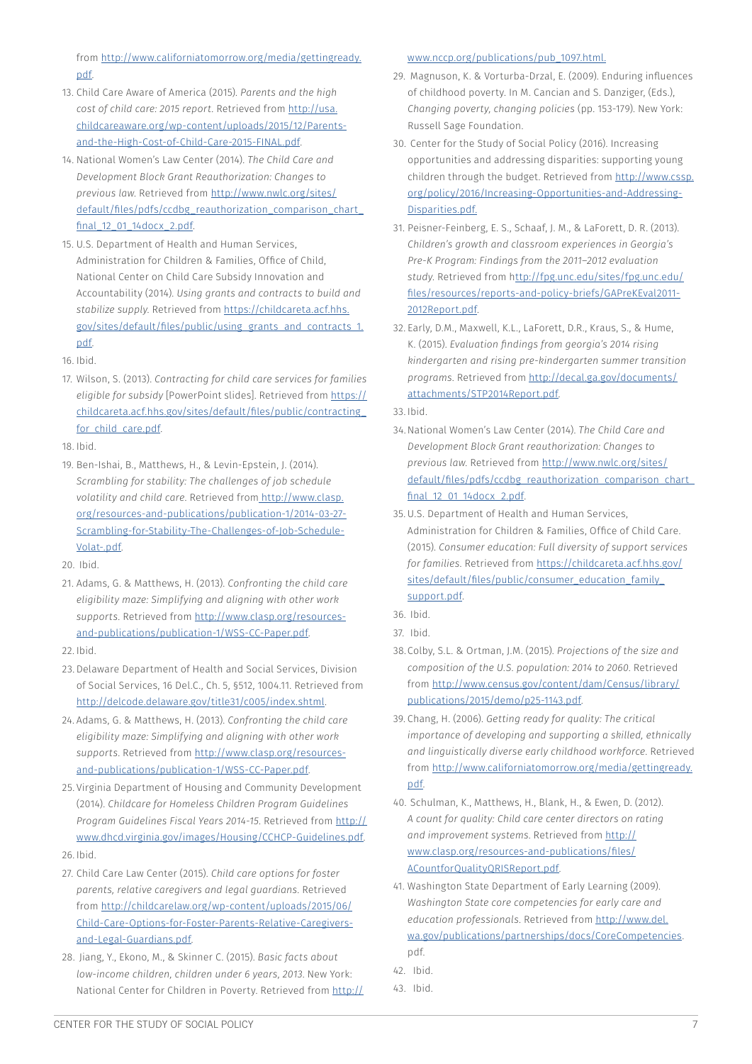from [http://www.californiatomorrow.org/media/gettingready.](http://www.californiatomorrow.org/media/gettingready.pdf) [pdf.](http://www.californiatomorrow.org/media/gettingready.pdf)

- 13. Child Care Aware of America (2015). *Parents and the high cost of child care: 2015 report*. Retrieved from [http://usa.](http://usa.childcareaware.org/wp-content/uploads/2015/12/Parents-and-the-High-Cost-of-Child-Care-201) [childcareaware.org/wp-content/uploads/2015/12/Parents](http://usa.childcareaware.org/wp-content/uploads/2015/12/Parents-and-the-High-Cost-of-Child-Care-201)[and-the-High-Cost-of-Child-Care-2015-FINAL.pdf.](http://usa.childcareaware.org/wp-content/uploads/2015/12/Parents-and-the-High-Cost-of-Child-Care-201)
- 14. National Women's Law Center (2014). *The Child Care and Development Block Grant Reauthorization: Changes to previous law*. Retrieved from [http://www.nwlc.org/sites/](http://www.nwlc.org/sites/default/files/pdfs/ccdbg_reauthorization_comparison_chart_final_12_01_14do) default/files/pdfs/ccdbg\_reauthorization\_comparison\_chart [final\\_12\\_01\\_14docx\\_2.pdf.](http://www.nwlc.org/sites/default/files/pdfs/ccdbg_reauthorization_comparison_chart_final_12_01_14do)
- 15. U.S. Department of Health and Human Services, Administration for Children & Families, Office of Child, National Center on Child Care Subsidy Innovation and Accountability (2014). *Using grants and contracts to build and stabilize supply*. Retrieved from [https://childcareta.acf.hhs.](https://childcareta.acf.hhs.gov/sites/default/files/public/using_grants_and_contracts_1.pdf) [gov/sites/default/files/public/using\\_grants\\_and\\_contracts\\_1.](https://childcareta.acf.hhs.gov/sites/default/files/public/using_grants_and_contracts_1.pdf) [pdf.](https://childcareta.acf.hhs.gov/sites/default/files/public/using_grants_and_contracts_1.pdf)
- 16. Ibid.
- 17. Wilson, S. (2013). *Contracting for child care services for families eligible for subsidy* [PowerPoint slides]. Retrieved from [https://](https://childcareta.acf.hhs.gov/sites/default/files/public/contracting_for_child_care.pdf) [childcareta.acf.hhs.gov/sites/default/files/public/contracting\\_](https://childcareta.acf.hhs.gov/sites/default/files/public/contracting_for_child_care.pdf) for child care.pdf.
- 18. Ibid.
- 19. Ben-Ishai, B., Matthews, H., & Levin-Epstein, J. (2014). *Scrambling for stability: The challenges of job schedule volatility and child care*. Retrieved from [http://www.clasp.]( http://www.clasp.org/resources-and-publications/publication-1/2014-03-27-Scrambling-for-Stability-T) [org/resources-and-publications/publication-1/2014-03-27-]( http://www.clasp.org/resources-and-publications/publication-1/2014-03-27-Scrambling-for-Stability-T) [Scrambling-for-Stability-The-Challenges-of-Job-Schedule-]( http://www.clasp.org/resources-and-publications/publication-1/2014-03-27-Scrambling-for-Stability-T)[Volat-.pdf.]( http://www.clasp.org/resources-and-publications/publication-1/2014-03-27-Scrambling-for-Stability-T)
- 20. Ibid.
- 21. Adams, G. & Matthews, H. (2013). *Confronting the child care eligibility maze: Simplifying and aligning with other work supports*. Retrieved from [http://www.clasp.org/resources](http://www.clasp.org/resources-and-publications/publication-1/WSS-CC-Paper.pdf)[and-publications/publication-1/WSS-CC-Paper.pdf](http://www.clasp.org/resources-and-publications/publication-1/WSS-CC-Paper.pdf).
- 22. Ibid.
- 23. Delaware Department of Health and Social Services, Division of Social Services, 16 Del.C., Ch. 5, §512, 1004.11. Retrieved from <http://delcode.delaware.gov/title31/c005/index.shtml>.
- 24. Adams, G. & Matthews, H. (2013). *Confronting the child care eligibility maze: Simplifying and aligning with other work supports*. Retrieved from [http://www.clasp.org/resources](http://www.clasp.org/resources-and-publications/publication-1/WSS-CC-Paper.pdf)[and-publications/publication-1/WSS-CC-Paper.pdf](http://www.clasp.org/resources-and-publications/publication-1/WSS-CC-Paper.pdf).
- 25. Virginia Department of Housing and Community Development (2014). *Childcare for Homeless Children Program Guidelines Program Guidelines Fiscal Years 2014-15*. Retrieved from [http://](http://www.dhcd.virginia.gov/images/Housing/CCHCP-Guidelines.pdf) [www.dhcd.virginia.gov/images/Housing/CCHCP-Guidelines.pdf.](http://www.dhcd.virginia.gov/images/Housing/CCHCP-Guidelines.pdf)
- 26. Ibid.
- 27. Child Care Law Center (2015). *Child care options for foster parents, relative caregivers and legal guardians*. Retrieved from [http://childcarelaw.org/wp-content/uploads/2015/06/](http://childcarelaw.org/wp-content/uploads/2015/06/Child-Care-Options-for-Foster-Parents-Relative-Ca) [Child-Care-Options-for-Foster-Parents-Relative-Caregivers](http://childcarelaw.org/wp-content/uploads/2015/06/Child-Care-Options-for-Foster-Parents-Relative-Ca)[and-Legal-Guardians.pdf](http://childcarelaw.org/wp-content/uploads/2015/06/Child-Care-Options-for-Foster-Parents-Relative-Ca).
- 28. Jiang, Y., Ekono, M., & Skinner C. (2015). *Basic facts about low-income children, children under 6 years, 2013*. New York: National Center for Children in Poverty. Retrieved from [http://](http://www.nccp.org/publications/pub_1097.html)

[www.nccp.org/publications/pub\\_1097.html.](http://www.nccp.org/publications/pub_1097.html)

- 29. Magnuson, K. & Vorturba-Drzal, E. (2009). Enduring influences of childhood poverty. In M. Cancian and S. Danziger, (Eds.), *Changing poverty, changing policies* (pp. 153-179). New York: Russell Sage Foundation.
- 30. Center for the Study of Social Policy (2016). Increasing opportunities and addressing disparities: supporting young children through the budget. Retrieved from [http://www.cssp.](http://www.cssp.org/policy/2016/Increasing-Opportunities-and-Addressing-Disparities.pdf) [org/policy/2016/Increasing-Opportunities-and-Addressing-](http://www.cssp.org/policy/2016/Increasing-Opportunities-and-Addressing-Disparities.pdf)[Disparities.pdf.](http://www.cssp.org/policy/2016/Increasing-Opportunities-and-Addressing-Disparities.pdf)
- 31. Peisner-Feinberg, E. S., Schaaf, J. M., & LaForett, D. R. (2013). *Children's growth and classroom experiences in Georgia's Pre-K Program: Findings from the 2011–2012 evaluation study*. Retrieved from h[ttp://fpg.unc.edu/sites/fpg.unc.edu/](ttp://fpg.unc.edu/sites/fpg.unc.edu/files/resources/reports-and-policy-briefs/GAPreKEval2011-2012Rep) [files/resources/reports-and-policy-briefs/GAPreKEval2011-](ttp://fpg.unc.edu/sites/fpg.unc.edu/files/resources/reports-and-policy-briefs/GAPreKEval2011-2012Rep) [2012Report.pdf.](ttp://fpg.unc.edu/sites/fpg.unc.edu/files/resources/reports-and-policy-briefs/GAPreKEval2011-2012Rep)
- 32. Early, D.M., Maxwell, K.L., LaForett, D.R., Kraus, S., & Hume, K. (2015). *Evaluation findings from georgia's 2014 rising kindergarten and rising pre-kindergarten summer transition programs*. Retrieved from [http://decal.ga.gov/documents/](http://decal.ga.gov/documents/attachments/STP2014Report.pdf) [attachments/STP2014Report.pdf](http://decal.ga.gov/documents/attachments/STP2014Report.pdf).
- 33. Ibid.
- 34.National Women's Law Center (2014). *The Child Care and Development Block Grant reauthorization: Changes to previous law*. Retrieved from [http://www.nwlc.org/sites/](http://www.nwlc.org/sites/default/files/pdfs/ccdbg_reauthorization_comparison_chart_final_12_01_14do) [default/files/pdfs/ccdbg\\_reauthorization\\_comparison\\_chart\\_](http://www.nwlc.org/sites/default/files/pdfs/ccdbg_reauthorization_comparison_chart_final_12_01_14do) [final\\_12\\_01\\_14docx\\_2.pdf.](http://www.nwlc.org/sites/default/files/pdfs/ccdbg_reauthorization_comparison_chart_final_12_01_14do)
- 35. U.S. Department of Health and Human Services, Administration for Children & Families, Office of Child Care. (2015). *Consumer education: Full diversity of support services for families*. Retrieved from [https://childcareta.acf.hhs.gov/](https://childcareta.acf.hhs.gov/sites/default/files/public/consumer_education_family_support.pdf) [sites/default/files/public/consumer\\_education\\_family\\_](https://childcareta.acf.hhs.gov/sites/default/files/public/consumer_education_family_support.pdf) [support.pdf](https://childcareta.acf.hhs.gov/sites/default/files/public/consumer_education_family_support.pdf).
- 36. Ibid.
- 37. Ibid.
- 38.Colby, S.L. & Ortman, J.M. (2015). *Projections of the size and composition of the U.S. population: 2014 to 2060*. Retrieved from [http://www.census.gov/content/dam/Census/library/](http://www.census.gov/content/dam/Census/library/publications/2015/demo/p25-1143.pdf) [publications/2015/demo/p25-1143.pdf](http://www.census.gov/content/dam/Census/library/publications/2015/demo/p25-1143.pdf).
- 39. Chang, H. (2006). *Getting ready for quality: The critical importance of developing and supporting a skilled, ethnically and linguistically diverse early childhood workforce*. Retrieved from [http://www.californiatomorrow.org/media/gettingready.](http://www.californiatomorrow.org/media/gettingready.pdf) [pdf.](http://www.californiatomorrow.org/media/gettingready.pdf)
- 40. Schulman, K., Matthews, H., Blank, H., & Ewen, D. (2012). *A count for quality: Child care center directors on rating and improvement systems*. Retrieved from [http://](http://www.clasp.org/resources-and-publications/files/ACountforQualityQRISReport.pdf) [www.clasp.org/resources-and-publications/files/](http://www.clasp.org/resources-and-publications/files/ACountforQualityQRISReport.pdf) [ACountforQualityQRISReport.pdf.](http://www.clasp.org/resources-and-publications/files/ACountforQualityQRISReport.pdf)
- 41. Washington State Department of Early Learning (2009). *Washington State core competencies for early care and education professionals*. Retrieved from [http://www.del.](http://www.del.wa.gov/publications/partnerships/docs/CoreCompetencies) [wa.gov/publications/partnerships/docs/CoreCompetencies](http://www.del.wa.gov/publications/partnerships/docs/CoreCompetencies). pdf.
- 42. Ibid.
- 43. Ibid.